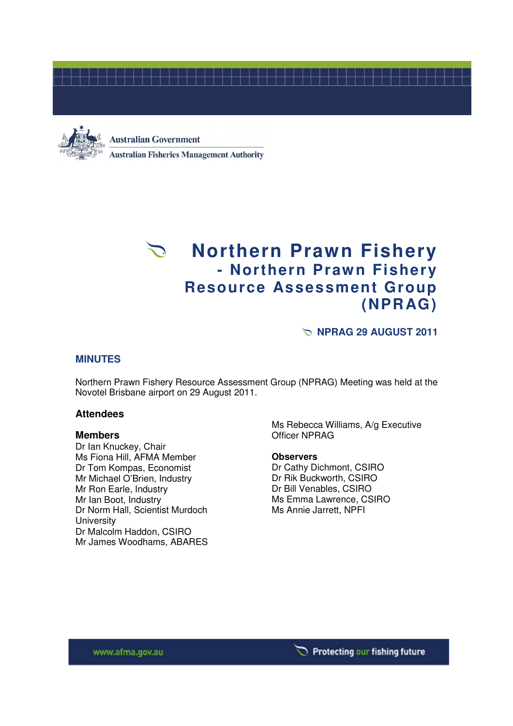



#### **Australian Government**

**Australian Fisheries Management Authority** 

# **Northern Prawn Fishery - Northern Prawn Fishery Resource Assessment Group (NPRAG)**

**NPRAG 29 AUGUST 2011** 

# **MINUTES**

Northern Prawn Fishery Resource Assessment Group (NPRAG) Meeting was held at the Novotel Brisbane airport on 29 August 2011.

#### **Attendees**

#### **Members**

Dr Ian Knuckey, Chair Ms Fiona Hill, AFMA Member Dr Tom Kompas, Economist Mr Michael O'Brien, Industry Mr Ron Earle, Industry Mr Ian Boot, Industry Dr Norm Hall, Scientist Murdoch **University** Dr Malcolm Haddon, CSIRO Mr James Woodhams, ABARES

Ms Rebecca Williams, A/g Executive Officer NPRAG

#### **Observers**

Dr Cathy Dichmont, CSIRO Dr Rik Buckworth, CSIRO Dr Bill Venables, CSIRO Ms Emma Lawrence, CSIRO Ms Annie Jarrett, NPFI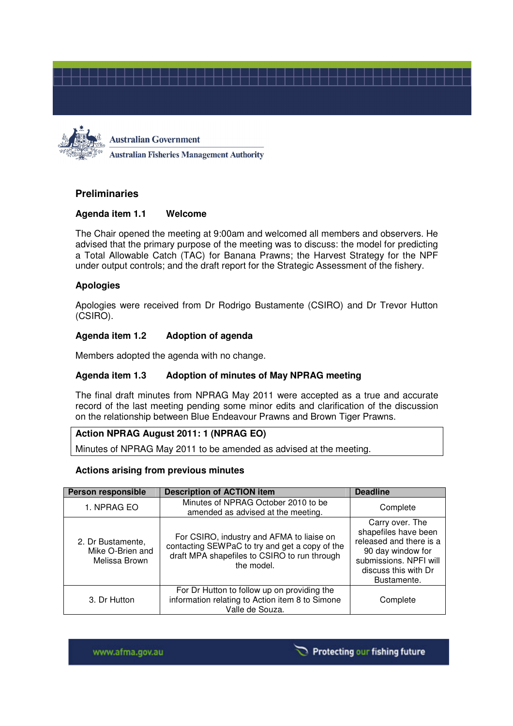

**Australian Government Australian Fisheries Management Authority** 

# **Preliminaries**

## **Agenda item 1.1 Welcome**

The Chair opened the meeting at 9:00am and welcomed all members and observers. He advised that the primary purpose of the meeting was to discuss: the model for predicting a Total Allowable Catch (TAC) for Banana Prawns; the Harvest Strategy for the NPF under output controls; and the draft report for the Strategic Assessment of the fishery.

## **Apologies**

Apologies were received from Dr Rodrigo Bustamente (CSIRO) and Dr Trevor Hutton (CSIRO).

## **Agenda item 1.2 Adoption of agenda**

Members adopted the agenda with no change.

## **Agenda item 1.3 Adoption of minutes of May NPRAG meeting**

The final draft minutes from NPRAG May 2011 were accepted as a true and accurate record of the last meeting pending some minor edits and clarification of the discussion on the relationship between Blue Endeavour Prawns and Brown Tiger Prawns.

#### **Action NPRAG August 2011: 1 (NPRAG EO)**

Minutes of NPRAG May 2011 to be amended as advised at the meeting.

#### **Actions arising from previous minutes**

| <b>Person responsible</b>                              | <b>Description of ACTION item</b>                                                                                                                         | <b>Deadline</b>                                                                                                                                          |
|--------------------------------------------------------|-----------------------------------------------------------------------------------------------------------------------------------------------------------|----------------------------------------------------------------------------------------------------------------------------------------------------------|
| 1. NPRAG EO                                            | Minutes of NPRAG October 2010 to be<br>amended as advised at the meeting.                                                                                 | Complete                                                                                                                                                 |
| 2. Dr Bustamente,<br>Mike O-Brien and<br>Melissa Brown | For CSIRO, industry and AFMA to liaise on<br>contacting SEWPaC to try and get a copy of the<br>draft MPA shapefiles to CSIRO to run through<br>the model. | Carry over. The<br>shapefiles have been<br>released and there is a<br>90 day window for<br>submissions. NPFI will<br>discuss this with Dr<br>Bustamente. |
| 3. Dr Hutton                                           | For Dr Hutton to follow up on providing the<br>information relating to Action item 8 to Simone<br>Valle de Souza.                                         | Complete                                                                                                                                                 |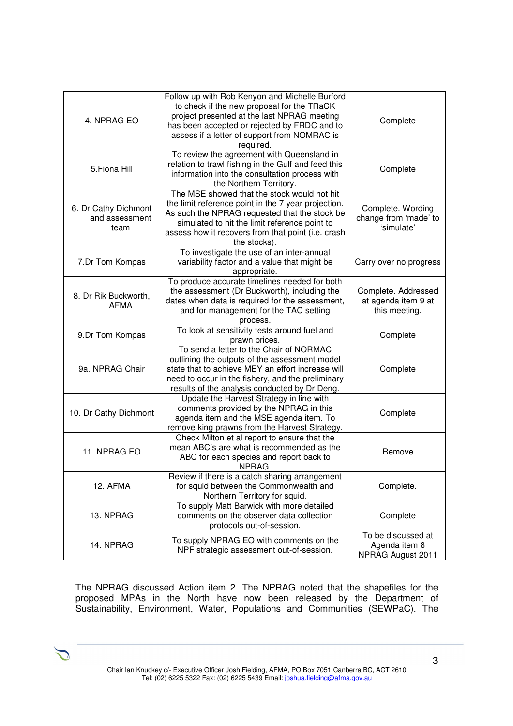| 4. NPRAG EO                                    | Follow up with Rob Kenyon and Michelle Burford<br>to check if the new proposal for the TRaCK<br>project presented at the last NPRAG meeting<br>has been accepted or rejected by FRDC and to<br>assess if a letter of support from NOMRAC is<br>required.                   | Complete                                                    |
|------------------------------------------------|----------------------------------------------------------------------------------------------------------------------------------------------------------------------------------------------------------------------------------------------------------------------------|-------------------------------------------------------------|
| 5. Fiona Hill                                  | To review the agreement with Queensland in<br>relation to trawl fishing in the Gulf and feed this<br>information into the consultation process with<br>the Northern Territory.                                                                                             | Complete                                                    |
| 6. Dr Cathy Dichmont<br>and assessment<br>team | The MSE showed that the stock would not hit<br>the limit reference point in the 7 year projection.<br>As such the NPRAG requested that the stock be<br>simulated to hit the limit reference point to<br>assess how it recovers from that point (i.e. crash<br>the stocks). | Complete. Wording<br>change from 'made' to<br>'simulate'    |
| 7.Dr Tom Kompas                                | To investigate the use of an inter-annual<br>variability factor and a value that might be<br>appropriate.                                                                                                                                                                  | Carry over no progress                                      |
| 8. Dr Rik Buckworth,<br><b>AFMA</b>            | To produce accurate timelines needed for both<br>the assessment (Dr Buckworth), including the<br>dates when data is required for the assessment,<br>and for management for the TAC setting<br>process.                                                                     | Complete. Addressed<br>at agenda item 9 at<br>this meeting. |
| 9.Dr Tom Kompas                                | To look at sensitivity tests around fuel and<br>prawn prices.                                                                                                                                                                                                              | Complete                                                    |
| 9a. NPRAG Chair                                | To send a letter to the Chair of NORMAC<br>outlining the outputs of the assessment model<br>state that to achieve MEY an effort increase will<br>need to occur in the fishery, and the preliminary<br>results of the analysis conducted by Dr Deng.                        | Complete                                                    |
| 10. Dr Cathy Dichmont                          | Update the Harvest Strategy in line with<br>comments provided by the NPRAG in this<br>agenda item and the MSE agenda item. To<br>remove king prawns from the Harvest Strategy.                                                                                             | Complete                                                    |
| 11. NPRAG EO                                   | Check Milton et al report to ensure that the<br>mean ABC's are what is recommended as the<br>ABC for each species and report back to<br>NPRAG.                                                                                                                             |                                                             |
| 12. AFMA                                       | Review if there is a catch sharing arrangement<br>for squid between the Commonwealth and<br>Northern Territory for squid.                                                                                                                                                  | Complete.                                                   |
| 13. NPRAG                                      | To supply Matt Barwick with more detailed<br>comments on the observer data collection<br>protocols out-of-session.                                                                                                                                                         | Complete                                                    |
| 14. NPRAG                                      | To supply NPRAG EO with comments on the<br>NPF strategic assessment out-of-session.                                                                                                                                                                                        | To be discussed at<br>Agenda item 8<br>NPRAG August 2011    |

The NPRAG discussed Action item 2. The NPRAG noted that the shapefiles for the proposed MPAs in the North have now been released by the Department of Sustainability, Environment, Water, Populations and Communities (SEWPaC). The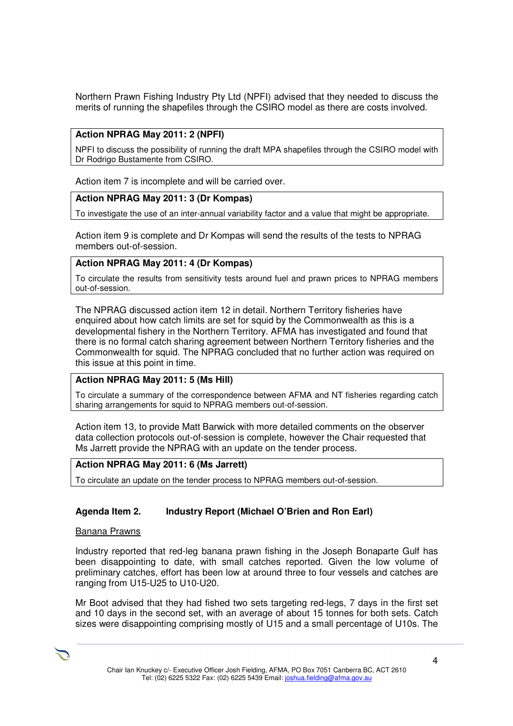Northern Prawn Fishing Industry Pty Ltd (NPFI) advised that they needed to discuss the merits of running the shapefiles through the CSIRO model as there are costs involved.

# **Action NPRAG May 2011: 2 (NPFI)**

NPFI to discuss the possibility of running the draft MPA shapefiles through the CSIRO model with Dr Rodrigo Bustamente from CSIRO.

Action item 7 is incomplete and will be carried over.

## **Action NPRAG May 2011: 3 (Dr Kompas)**

To investigate the use of an inter-annual variability factor and a value that might be appropriate.

Action item 9 is complete and Dr Kompas will send the results of the tests to NPRAG members out-of-session.

## **Action NPRAG May 2011: 4 (Dr Kompas)**

To circulate the results from sensitivity tests around fuel and prawn prices to NPRAG members out-of-session.

The NPRAG discussed action item 12 in detail. Northern Territory fisheries have enquired about how catch limits are set for squid by the Commonwealth as this is a developmental fishery in the Northern Territory. AFMA has investigated and found that there is no formal catch sharing agreement between Northern Territory fisheries and the Commonwealth for squid. The NPRAG concluded that no further action was required on this issue at this point in time.

## **Action NPRAG May 2011: 5 (Ms Hill)**

To circulate a summary of the correspondence between AFMA and NT fisheries regarding catch sharing arrangements for squid to NPRAG members out-of-session.

Action item 13, to provide Matt Barwick with more detailed comments on the observer data collection protocols out-of-session is complete, however the Chair requested that Ms Jarrett provide the NPRAG with an update on the tender process.

#### **Action NPRAG May 2011: 6 (Ms Jarrett)**

To circulate an update on the tender process to NPRAG members out-of-session.

## **Agenda Item 2. Industry Report (Michael O'Brien and Ron Earl)**

#### Banana Prawns

Industry reported that red-leg banana prawn fishing in the Joseph Bonaparte Gulf has been disappointing to date, with small catches reported. Given the low volume of preliminary catches, effort has been low at around three to four vessels and catches are ranging from U15-U25 to U10-U20.

Mr Boot advised that they had fished two sets targeting red-legs, 7 days in the first set and 10 days in the second set, with an average of about 15 tonnes for both sets. Catch sizes were disappointing comprising mostly of U15 and a small percentage of U10s. The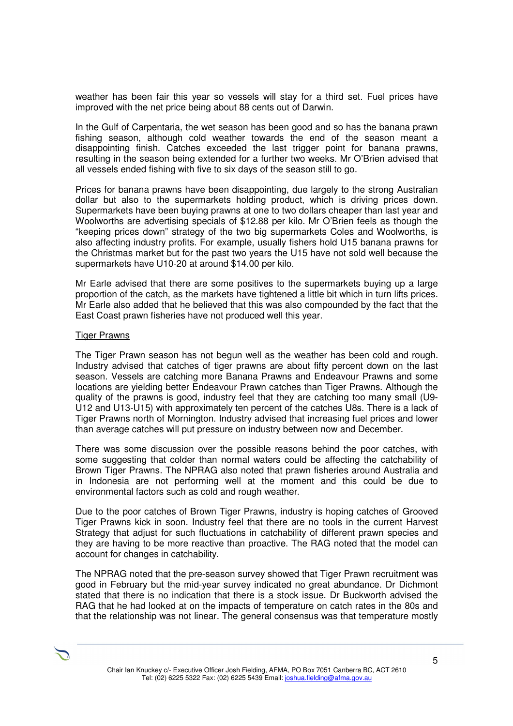weather has been fair this year so vessels will stay for a third set. Fuel prices have improved with the net price being about 88 cents out of Darwin.

In the Gulf of Carpentaria, the wet season has been good and so has the banana prawn fishing season, although cold weather towards the end of the season meant a disappointing finish. Catches exceeded the last trigger point for banana prawns, resulting in the season being extended for a further two weeks. Mr O'Brien advised that all vessels ended fishing with five to six days of the season still to go.

Prices for banana prawns have been disappointing, due largely to the strong Australian dollar but also to the supermarkets holding product, which is driving prices down. Supermarkets have been buying prawns at one to two dollars cheaper than last year and Woolworths are advertising specials of \$12.88 per kilo. Mr O'Brien feels as though the "keeping prices down" strategy of the two big supermarkets Coles and Woolworths, is also affecting industry profits. For example, usually fishers hold U15 banana prawns for the Christmas market but for the past two years the U15 have not sold well because the supermarkets have U10-20 at around \$14.00 per kilo.

Mr Earle advised that there are some positives to the supermarkets buying up a large proportion of the catch, as the markets have tightened a little bit which in turn lifts prices. Mr Earle also added that he believed that this was also compounded by the fact that the East Coast prawn fisheries have not produced well this year.

#### Tiger Prawns

The Tiger Prawn season has not begun well as the weather has been cold and rough. Industry advised that catches of tiger prawns are about fifty percent down on the last season. Vessels are catching more Banana Prawns and Endeavour Prawns and some locations are yielding better Endeavour Prawn catches than Tiger Prawns. Although the quality of the prawns is good, industry feel that they are catching too many small (U9- U12 and U13-U15) with approximately ten percent of the catches U8s. There is a lack of Tiger Prawns north of Mornington. Industry advised that increasing fuel prices and lower than average catches will put pressure on industry between now and December.

There was some discussion over the possible reasons behind the poor catches, with some suggesting that colder than normal waters could be affecting the catchability of Brown Tiger Prawns. The NPRAG also noted that prawn fisheries around Australia and in Indonesia are not performing well at the moment and this could be due to environmental factors such as cold and rough weather.

Due to the poor catches of Brown Tiger Prawns, industry is hoping catches of Grooved Tiger Prawns kick in soon. Industry feel that there are no tools in the current Harvest Strategy that adjust for such fluctuations in catchability of different prawn species and they are having to be more reactive than proactive. The RAG noted that the model can account for changes in catchability.

The NPRAG noted that the pre-season survey showed that Tiger Prawn recruitment was good in February but the mid-year survey indicated no great abundance. Dr Dichmont stated that there is no indication that there is a stock issue. Dr Buckworth advised the RAG that he had looked at on the impacts of temperature on catch rates in the 80s and that the relationship was not linear. The general consensus was that temperature mostly

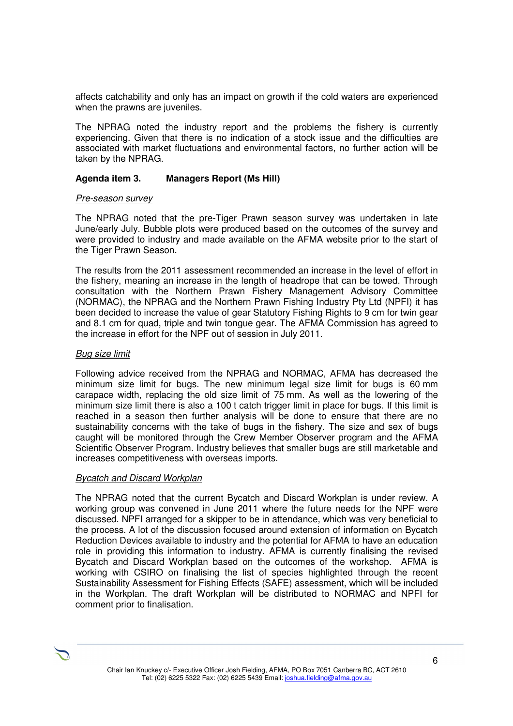affects catchability and only has an impact on growth if the cold waters are experienced when the prawns are juveniles.

The NPRAG noted the industry report and the problems the fishery is currently experiencing. Given that there is no indication of a stock issue and the difficulties are associated with market fluctuations and environmental factors, no further action will be taken by the NPRAG.

## **Agenda item 3. Managers Report (Ms Hill)**

#### Pre-season survey

The NPRAG noted that the pre-Tiger Prawn season survey was undertaken in late June/early July. Bubble plots were produced based on the outcomes of the survey and were provided to industry and made available on the AFMA website prior to the start of the Tiger Prawn Season.

The results from the 2011 assessment recommended an increase in the level of effort in the fishery, meaning an increase in the length of headrope that can be towed. Through consultation with the Northern Prawn Fishery Management Advisory Committee (NORMAC), the NPRAG and the Northern Prawn Fishing Industry Pty Ltd (NPFI) it has been decided to increase the value of gear Statutory Fishing Rights to 9 cm for twin gear and 8.1 cm for quad, triple and twin tongue gear. The AFMA Commission has agreed to the increase in effort for the NPF out of session in July 2011.

## Bug size limit

Following advice received from the NPRAG and NORMAC, AFMA has decreased the minimum size limit for bugs. The new minimum legal size limit for bugs is 60 mm carapace width, replacing the old size limit of 75 mm. As well as the lowering of the minimum size limit there is also a 100 t catch trigger limit in place for bugs. If this limit is reached in a season then further analysis will be done to ensure that there are no sustainability concerns with the take of bugs in the fishery. The size and sex of bugs caught will be monitored through the Crew Member Observer program and the AFMA Scientific Observer Program. Industry believes that smaller bugs are still marketable and increases competitiveness with overseas imports.

#### **Bycatch and Discard Workplan**

The NPRAG noted that the current Bycatch and Discard Workplan is under review. A working group was convened in June 2011 where the future needs for the NPF were discussed. NPFI arranged for a skipper to be in attendance, which was very beneficial to the process. A lot of the discussion focused around extension of information on Bycatch Reduction Devices available to industry and the potential for AFMA to have an education role in providing this information to industry. AFMA is currently finalising the revised Bycatch and Discard Workplan based on the outcomes of the workshop. AFMA is working with CSIRO on finalising the list of species highlighted through the recent Sustainability Assessment for Fishing Effects (SAFE) assessment, which will be included in the Workplan. The draft Workplan will be distributed to NORMAC and NPFI for comment prior to finalisation.

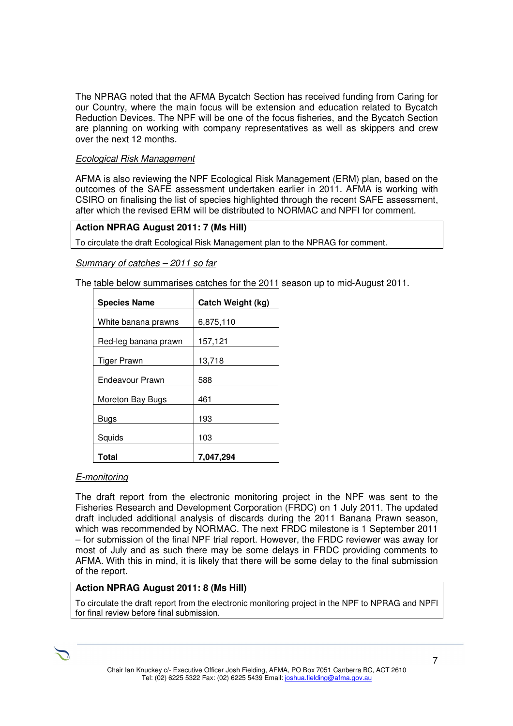The NPRAG noted that the AFMA Bycatch Section has received funding from Caring for our Country, where the main focus will be extension and education related to Bycatch Reduction Devices. The NPF will be one of the focus fisheries, and the Bycatch Section are planning on working with company representatives as well as skippers and crew over the next 12 months.

## Ecological Risk Management

AFMA is also reviewing the NPF Ecological Risk Management (ERM) plan, based on the outcomes of the SAFE assessment undertaken earlier in 2011. AFMA is working with CSIRO on finalising the list of species highlighted through the recent SAFE assessment, after which the revised ERM will be distributed to NORMAC and NPFI for comment.

## **Action NPRAG August 2011: 7 (Ms Hill)**

To circulate the draft Ecological Risk Management plan to the NPRAG for comment.

## Summary of catches – 2011 so far

The table below summarises catches for the 2011 season up to mid-August 2011.

| <b>Species Name</b>  | Catch Weight (kg) |  |
|----------------------|-------------------|--|
| White banana prawns  | 6,875,110         |  |
| Red-leg banana prawn | 157,121           |  |
| Tiger Prawn          | 13,718            |  |
| Endeavour Prawn      | 588               |  |
| Moreton Bay Bugs     | 461               |  |
| Bugs                 | 193               |  |
| Squids               | 103               |  |
| Total                | 7,047,294         |  |

## E-monitoring

The draft report from the electronic monitoring project in the NPF was sent to the Fisheries Research and Development Corporation (FRDC) on 1 July 2011. The updated draft included additional analysis of discards during the 2011 Banana Prawn season, which was recommended by NORMAC. The next FRDC milestone is 1 September 2011 – for submission of the final NPF trial report. However, the FRDC reviewer was away for most of July and as such there may be some delays in FRDC providing comments to AFMA. With this in mind, it is likely that there will be some delay to the final submission of the report.

## **Action NPRAG August 2011: 8 (Ms Hill)**

To circulate the draft report from the electronic monitoring project in the NPF to NPRAG and NPFI for final review before final submission.

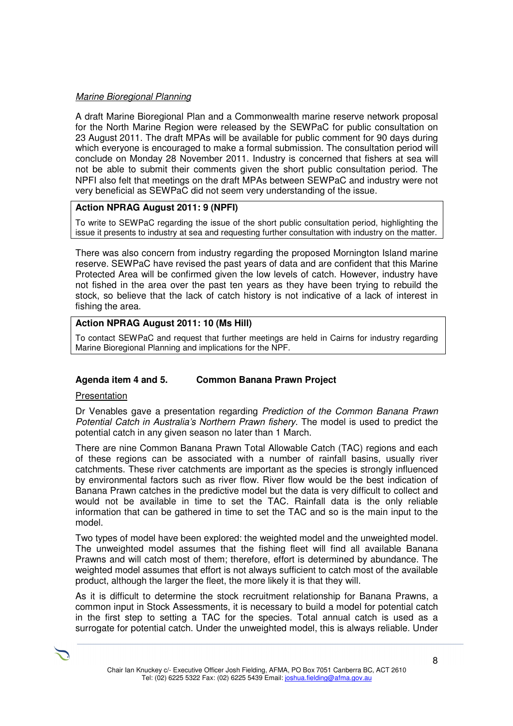## Marine Bioregional Planning

A draft Marine Bioregional Plan and a Commonwealth marine reserve network proposal for the North Marine Region were released by the SEWPaC for public consultation on 23 August 2011. The draft MPAs will be available for public comment for 90 days during which everyone is encouraged to make a formal submission. The consultation period will conclude on Monday 28 November 2011. Industry is concerned that fishers at sea will not be able to submit their comments given the short public consultation period. The NPFI also felt that meetings on the draft MPAs between SEWPaC and industry were not very beneficial as SEWPaC did not seem very understanding of the issue.

# **Action NPRAG August 2011: 9 (NPFI)**

To write to SEWPaC regarding the issue of the short public consultation period, highlighting the issue it presents to industry at sea and requesting further consultation with industry on the matter.

There was also concern from industry regarding the proposed Mornington Island marine reserve. SEWPaC have revised the past years of data and are confident that this Marine Protected Area will be confirmed given the low levels of catch. However, industry have not fished in the area over the past ten years as they have been trying to rebuild the stock, so believe that the lack of catch history is not indicative of a lack of interest in fishing the area.

## **Action NPRAG August 2011: 10 (Ms Hill)**

To contact SEWPaC and request that further meetings are held in Cairns for industry regarding Marine Bioregional Planning and implications for the NPF.

## **Agenda item 4 and 5. Common Banana Prawn Project**

#### Presentation

Dr Venables gave a presentation regarding Prediction of the Common Banana Prawn Potential Catch in Australia's Northern Prawn fishery. The model is used to predict the potential catch in any given season no later than 1 March.

There are nine Common Banana Prawn Total Allowable Catch (TAC) regions and each of these regions can be associated with a number of rainfall basins, usually river catchments. These river catchments are important as the species is strongly influenced by environmental factors such as river flow. River flow would be the best indication of Banana Prawn catches in the predictive model but the data is very difficult to collect and would not be available in time to set the TAC. Rainfall data is the only reliable information that can be gathered in time to set the TAC and so is the main input to the model.

Two types of model have been explored: the weighted model and the unweighted model. The unweighted model assumes that the fishing fleet will find all available Banana Prawns and will catch most of them; therefore, effort is determined by abundance. The weighted model assumes that effort is not always sufficient to catch most of the available product, although the larger the fleet, the more likely it is that they will.

As it is difficult to determine the stock recruitment relationship for Banana Prawns, a common input in Stock Assessments, it is necessary to build a model for potential catch in the first step to setting a TAC for the species. Total annual catch is used as a surrogate for potential catch. Under the unweighted model, this is always reliable. Under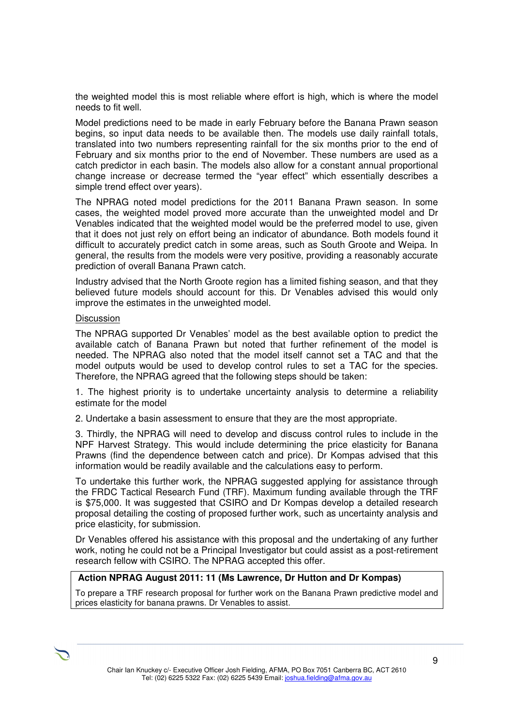the weighted model this is most reliable where effort is high, which is where the model needs to fit well.

Model predictions need to be made in early February before the Banana Prawn season begins, so input data needs to be available then. The models use daily rainfall totals, translated into two numbers representing rainfall for the six months prior to the end of February and six months prior to the end of November. These numbers are used as a catch predictor in each basin. The models also allow for a constant annual proportional change increase or decrease termed the "year effect" which essentially describes a simple trend effect over years).

The NPRAG noted model predictions for the 2011 Banana Prawn season. In some cases, the weighted model proved more accurate than the unweighted model and Dr Venables indicated that the weighted model would be the preferred model to use, given that it does not just rely on effort being an indicator of abundance. Both models found it difficult to accurately predict catch in some areas, such as South Groote and Weipa. In general, the results from the models were very positive, providing a reasonably accurate prediction of overall Banana Prawn catch.

Industry advised that the North Groote region has a limited fishing season, and that they believed future models should account for this. Dr Venables advised this would only improve the estimates in the unweighted model.

#### **Discussion**

The NPRAG supported Dr Venables' model as the best available option to predict the available catch of Banana Prawn but noted that further refinement of the model is needed. The NPRAG also noted that the model itself cannot set a TAC and that the model outputs would be used to develop control rules to set a TAC for the species. Therefore, the NPRAG agreed that the following steps should be taken:

1. The highest priority is to undertake uncertainty analysis to determine a reliability estimate for the model

2. Undertake a basin assessment to ensure that they are the most appropriate.

3. Thirdly, the NPRAG will need to develop and discuss control rules to include in the NPF Harvest Strategy. This would include determining the price elasticity for Banana Prawns (find the dependence between catch and price). Dr Kompas advised that this information would be readily available and the calculations easy to perform.

To undertake this further work, the NPRAG suggested applying for assistance through the FRDC Tactical Research Fund (TRF). Maximum funding available through the TRF is \$75,000. It was suggested that CSIRO and Dr Kompas develop a detailed research proposal detailing the costing of proposed further work, such as uncertainty analysis and price elasticity, for submission.

Dr Venables offered his assistance with this proposal and the undertaking of any further work, noting he could not be a Principal Investigator but could assist as a post-retirement research fellow with CSIRO. The NPRAG accepted this offer.

#### **Action NPRAG August 2011: 11 (Ms Lawrence, Dr Hutton and Dr Kompas)**

To prepare a TRF research proposal for further work on the Banana Prawn predictive model and prices elasticity for banana prawns. Dr Venables to assist.

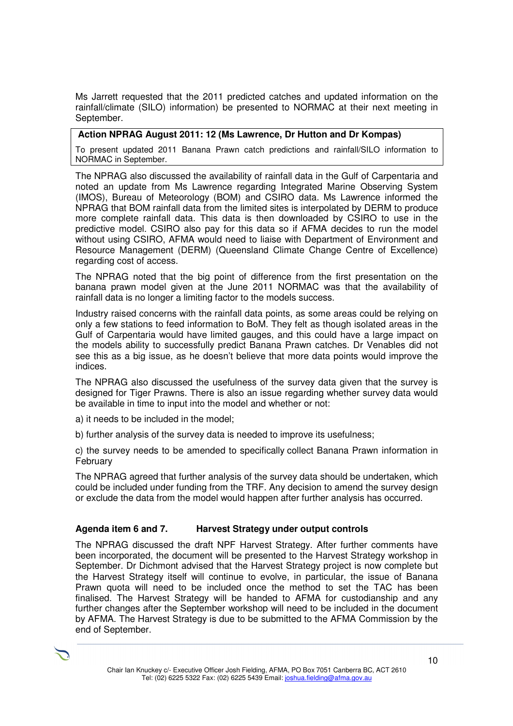Ms Jarrett requested that the 2011 predicted catches and updated information on the rainfall/climate (SILO) information) be presented to NORMAC at their next meeting in September.

# **Action NPRAG August 2011: 12 (Ms Lawrence, Dr Hutton and Dr Kompas)**

To present updated 2011 Banana Prawn catch predictions and rainfall/SILO information to NORMAC in September.

The NPRAG also discussed the availability of rainfall data in the Gulf of Carpentaria and noted an update from Ms Lawrence regarding Integrated Marine Observing System (IMOS), Bureau of Meteorology (BOM) and CSIRO data. Ms Lawrence informed the NPRAG that BOM rainfall data from the limited sites is interpolated by DERM to produce more complete rainfall data. This data is then downloaded by CSIRO to use in the predictive model. CSIRO also pay for this data so if AFMA decides to run the model without using CSIRO, AFMA would need to liaise with Department of Environment and Resource Management (DERM) (Queensland Climate Change Centre of Excellence) regarding cost of access.

The NPRAG noted that the big point of difference from the first presentation on the banana prawn model given at the June 2011 NORMAC was that the availability of rainfall data is no longer a limiting factor to the models success.

Industry raised concerns with the rainfall data points, as some areas could be relying on only a few stations to feed information to BoM. They felt as though isolated areas in the Gulf of Carpentaria would have limited gauges, and this could have a large impact on the models ability to successfully predict Banana Prawn catches. Dr Venables did not see this as a big issue, as he doesn't believe that more data points would improve the indices.

The NPRAG also discussed the usefulness of the survey data given that the survey is designed for Tiger Prawns. There is also an issue regarding whether survey data would be available in time to input into the model and whether or not:

- a) it needs to be included in the model;
- b) further analysis of the survey data is needed to improve its usefulness;

c) the survey needs to be amended to specifically collect Banana Prawn information in February

The NPRAG agreed that further analysis of the survey data should be undertaken, which could be included under funding from the TRF. Any decision to amend the survey design or exclude the data from the model would happen after further analysis has occurred.

# **Agenda item 6 and 7. Harvest Strategy under output controls**

The NPRAG discussed the draft NPF Harvest Strategy. After further comments have been incorporated, the document will be presented to the Harvest Strategy workshop in September. Dr Dichmont advised that the Harvest Strategy project is now complete but the Harvest Strategy itself will continue to evolve, in particular, the issue of Banana Prawn quota will need to be included once the method to set the TAC has been finalised. The Harvest Strategy will be handed to AFMA for custodianship and any further changes after the September workshop will need to be included in the document by AFMA. The Harvest Strategy is due to be submitted to the AFMA Commission by the end of September.

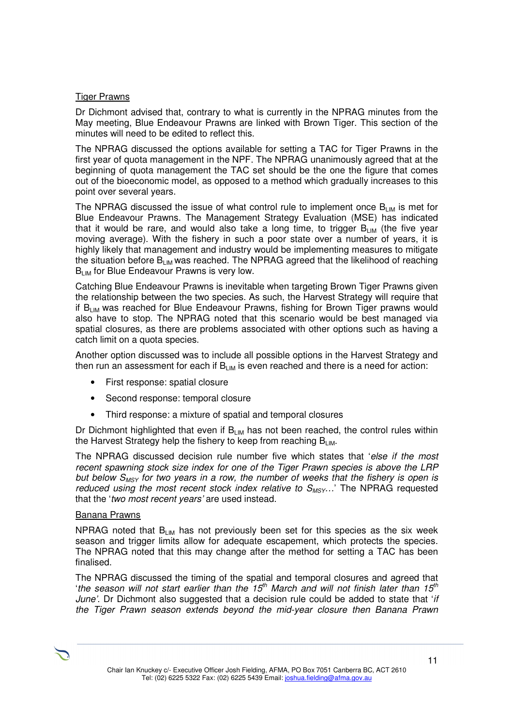#### Tiger Prawns

Dr Dichmont advised that, contrary to what is currently in the NPRAG minutes from the May meeting, Blue Endeavour Prawns are linked with Brown Tiger. This section of the minutes will need to be edited to reflect this.

The NPRAG discussed the options available for setting a TAC for Tiger Prawns in the first year of quota management in the NPF. The NPRAG unanimously agreed that at the beginning of quota management the TAC set should be the one the figure that comes out of the bioeconomic model, as opposed to a method which gradually increases to this point over several years.

The NPRAG discussed the issue of what control rule to implement once  $B_{LM}$  is met for Blue Endeavour Prawns. The Management Strategy Evaluation (MSE) has indicated that it would be rare, and would also take a long time, to trigger  $B_{LIM}$  (the five year moving average). With the fishery in such a poor state over a number of years, it is highly likely that management and industry would be implementing measures to mitigate the situation before  $B_{LM}$  was reached. The NPRAG agreed that the likelihood of reaching  $B<sub>LM</sub>$  for Blue Endeavour Prawns is very low.

Catching Blue Endeavour Prawns is inevitable when targeting Brown Tiger Prawns given the relationship between the two species. As such, the Harvest Strategy will require that if  $B_{LM}$  was reached for Blue Endeavour Prawns, fishing for Brown Tiger prawns would also have to stop. The NPRAG noted that this scenario would be best managed via spatial closures, as there are problems associated with other options such as having a catch limit on a quota species.

Another option discussed was to include all possible options in the Harvest Strategy and then run an assessment for each if  $B_{LM}$  is even reached and there is a need for action:

- First response: spatial closure
- Second response: temporal closure
- Third response: a mixture of spatial and temporal closures

Dr Dichmont highlighted that even if  $B<sub>LM</sub>$  has not been reached, the control rules within the Harvest Strategy help the fishery to keep from reaching  $B_{LM}$ .

The NPRAG discussed decision rule number five which states that 'else if the most recent spawning stock size index for one of the Tiger Prawn species is above the LRP but below  $S_{MSY}$  for two years in a row, the number of weeks that the fishery is open is reduced using the most recent stock index relative to  $S_{MSY}$ ...' The NPRAG requested that the 'two most recent years' are used instead.

## Banana Prawns

NPRAG noted that  $B_{LIM}$  has not previously been set for this species as the six week season and trigger limits allow for adequate escapement, which protects the species. The NPRAG noted that this may change after the method for setting a TAC has been finalised.

The NPRAG discussed the timing of the spatial and temporal closures and agreed that 'the season will not start earlier than the  $15<sup>th</sup>$  March and will not finish later than  $15<sup>th</sup>$ June'. Dr Dichmont also suggested that a decision rule could be added to state that 'if the Tiger Prawn season extends beyond the mid-year closure then Banana Prawn

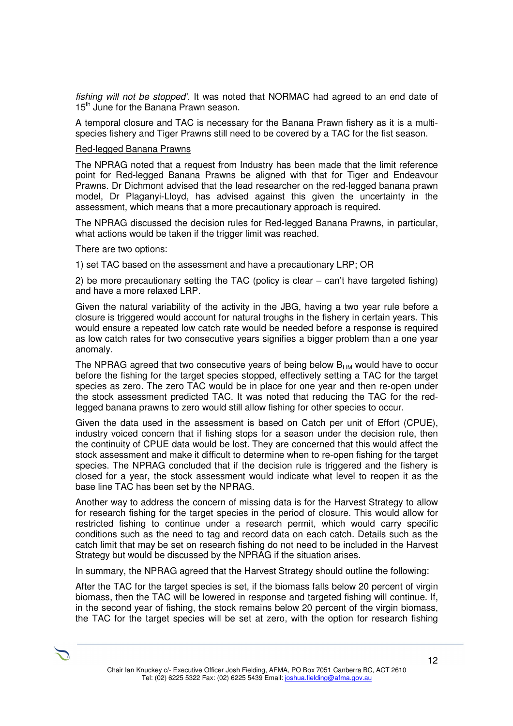fishing will not be stopped'. It was noted that NORMAC had agreed to an end date of 15<sup>th</sup> June for the Banana Prawn season.

A temporal closure and TAC is necessary for the Banana Prawn fishery as it is a multispecies fishery and Tiger Prawns still need to be covered by a TAC for the fist season.

#### Red-legged Banana Prawns

The NPRAG noted that a request from Industry has been made that the limit reference point for Red-legged Banana Prawns be aligned with that for Tiger and Endeavour Prawns. Dr Dichmont advised that the lead researcher on the red-legged banana prawn model, Dr Plaganyi-Lloyd, has advised against this given the uncertainty in the assessment, which means that a more precautionary approach is required.

The NPRAG discussed the decision rules for Red-legged Banana Prawns, in particular, what actions would be taken if the trigger limit was reached.

There are two options:

1) set TAC based on the assessment and have a precautionary LRP; OR

2) be more precautionary setting the TAC (policy is clear – can't have targeted fishing) and have a more relaxed LRP.

Given the natural variability of the activity in the JBG, having a two year rule before a closure is triggered would account for natural troughs in the fishery in certain years. This would ensure a repeated low catch rate would be needed before a response is required as low catch rates for two consecutive years signifies a bigger problem than a one year anomaly.

The NPRAG agreed that two consecutive years of being below  $B_{LM}$  would have to occur before the fishing for the target species stopped, effectively setting a TAC for the target species as zero. The zero TAC would be in place for one year and then re-open under the stock assessment predicted TAC. It was noted that reducing the TAC for the redlegged banana prawns to zero would still allow fishing for other species to occur.

Given the data used in the assessment is based on Catch per unit of Effort (CPUE), industry voiced concern that if fishing stops for a season under the decision rule, then the continuity of CPUE data would be lost. They are concerned that this would affect the stock assessment and make it difficult to determine when to re-open fishing for the target species. The NPRAG concluded that if the decision rule is triggered and the fishery is closed for a year, the stock assessment would indicate what level to reopen it as the base line TAC has been set by the NPRAG.

Another way to address the concern of missing data is for the Harvest Strategy to allow for research fishing for the target species in the period of closure. This would allow for restricted fishing to continue under a research permit, which would carry specific conditions such as the need to tag and record data on each catch. Details such as the catch limit that may be set on research fishing do not need to be included in the Harvest Strategy but would be discussed by the NPRAG if the situation arises.

In summary, the NPRAG agreed that the Harvest Strategy should outline the following:

After the TAC for the target species is set, if the biomass falls below 20 percent of virgin biomass, then the TAC will be lowered in response and targeted fishing will continue. If, in the second year of fishing, the stock remains below 20 percent of the virgin biomass, the TAC for the target species will be set at zero, with the option for research fishing

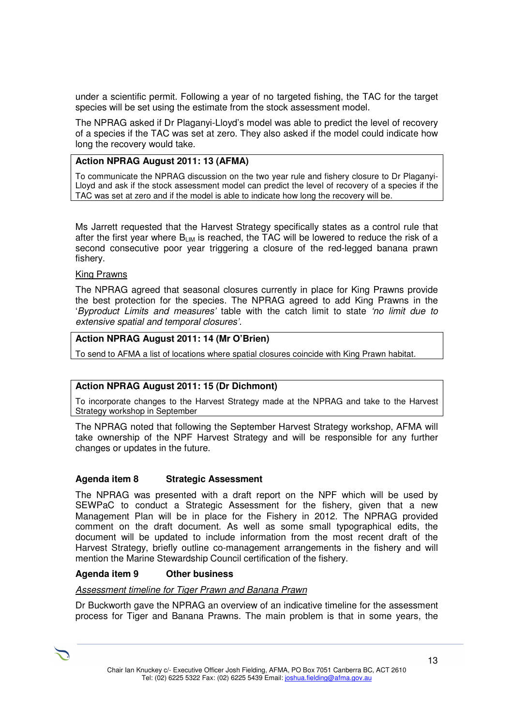under a scientific permit. Following a year of no targeted fishing, the TAC for the target species will be set using the estimate from the stock assessment model.

The NPRAG asked if Dr Plaganyi-Lloyd's model was able to predict the level of recovery of a species if the TAC was set at zero. They also asked if the model could indicate how long the recovery would take.

## **Action NPRAG August 2011: 13 (AFMA)**

To communicate the NPRAG discussion on the two year rule and fishery closure to Dr Plaganyi-Lloyd and ask if the stock assessment model can predict the level of recovery of a species if the TAC was set at zero and if the model is able to indicate how long the recovery will be.

Ms Jarrett requested that the Harvest Strategy specifically states as a control rule that after the first year where  $B_{LIM}$  is reached, the TAC will be lowered to reduce the risk of a second consecutive poor year triggering a closure of the red-legged banana prawn fishery.

#### King Prawns

The NPRAG agreed that seasonal closures currently in place for King Prawns provide the best protection for the species. The NPRAG agreed to add King Prawns in the 'Byproduct Limits and measures' table with the catch limit to state 'no limit due to extensive spatial and temporal closures'.

## **Action NPRAG August 2011: 14 (Mr O'Brien)**

To send to AFMA a list of locations where spatial closures coincide with King Prawn habitat.

## **Action NPRAG August 2011: 15 (Dr Dichmont)**

To incorporate changes to the Harvest Strategy made at the NPRAG and take to the Harvest Strategy workshop in September

The NPRAG noted that following the September Harvest Strategy workshop, AFMA will take ownership of the NPF Harvest Strategy and will be responsible for any further changes or updates in the future.

#### **Agenda item 8 Strategic Assessment**

The NPRAG was presented with a draft report on the NPF which will be used by SEWPaC to conduct a Strategic Assessment for the fishery, given that a new Management Plan will be in place for the Fishery in 2012. The NPRAG provided comment on the draft document. As well as some small typographical edits, the document will be updated to include information from the most recent draft of the Harvest Strategy, briefly outline co-management arrangements in the fishery and will mention the Marine Stewardship Council certification of the fishery.

## **Agenda item 9 Other business**

Assessment timeline for Tiger Prawn and Banana Prawn

Dr Buckworth gave the NPRAG an overview of an indicative timeline for the assessment process for Tiger and Banana Prawns. The main problem is that in some years, the